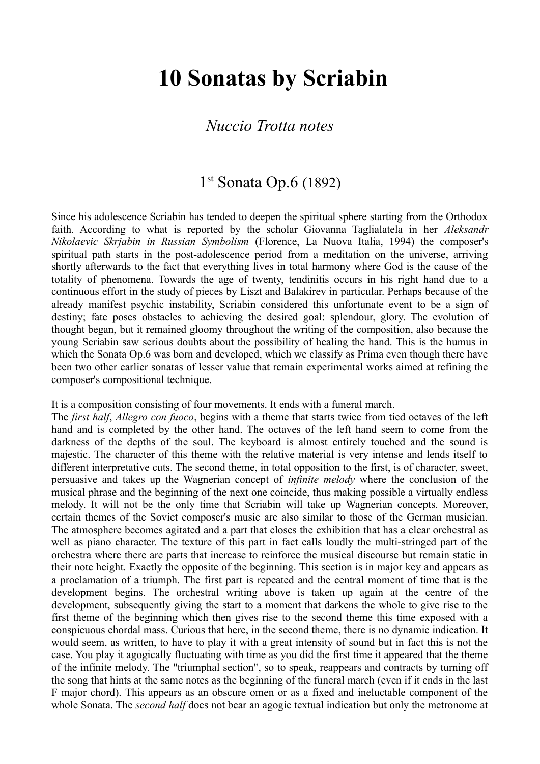# **10 Sonatas by Scriabin**

#### *Nuccio Trotta notes*

# 1<sup>st</sup> Sonata Op.6 (1892)

Since his adolescence Scriabin has tended to deepen the spiritual sphere starting from the Orthodox faith. According to what is reported by the scholar Giovanna Taglialatela in her *Aleksandr Nikolaevic Skrjabin in Russian Symbolism* (Florence, La Nuova Italia, 1994) the composer's spiritual path starts in the post-adolescence period from a meditation on the universe, arriving shortly afterwards to the fact that everything lives in total harmony where God is the cause of the totality of phenomena. Towards the age of twenty, tendinitis occurs in his right hand due to a continuous effort in the study of pieces by Liszt and Balakirev in particular. Perhaps because of the already manifest psychic instability, Scriabin considered this unfortunate event to be a sign of destiny; fate poses obstacles to achieving the desired goal: splendour, glory. The evolution of thought began, but it remained gloomy throughout the writing of the composition, also because the young Scriabin saw serious doubts about the possibility of healing the hand. This is the humus in which the Sonata Op.6 was born and developed, which we classify as Prima even though there have been two other earlier sonatas of lesser value that remain experimental works aimed at refining the composer's compositional technique.

#### It is a composition consisting of four movements. It ends with a funeral march.

The *first half*, *Allegro con fuoco*, begins with a theme that starts twice from tied octaves of the left hand and is completed by the other hand. The octaves of the left hand seem to come from the darkness of the depths of the soul. The keyboard is almost entirely touched and the sound is majestic. The character of this theme with the relative material is very intense and lends itself to different interpretative cuts. The second theme, in total opposition to the first, is of character, sweet, persuasive and takes up the Wagnerian concept of *infinite melody* where the conclusion of the musical phrase and the beginning of the next one coincide, thus making possible a virtually endless melody. It will not be the only time that Scriabin will take up Wagnerian concepts. Moreover, certain themes of the Soviet composer's music are also similar to those of the German musician. The atmosphere becomes agitated and a part that closes the exhibition that has a clear orchestral as well as piano character. The texture of this part in fact calls loudly the multi-stringed part of the orchestra where there are parts that increase to reinforce the musical discourse but remain static in their note height. Exactly the opposite of the beginning. This section is in major key and appears as a proclamation of a triumph. The first part is repeated and the central moment of time that is the development begins. The orchestral writing above is taken up again at the centre of the development, subsequently giving the start to a moment that darkens the whole to give rise to the first theme of the beginning which then gives rise to the second theme this time exposed with a conspicuous chordal mass. Curious that here, in the second theme, there is no dynamic indication. It would seem, as written, to have to play it with a great intensity of sound but in fact this is not the case. You play it agogically fluctuating with time as you did the first time it appeared that the theme of the infinite melody. The "triumphal section", so to speak, reappears and contracts by turning off the song that hints at the same notes as the beginning of the funeral march (even if it ends in the last F major chord). This appears as an obscure omen or as a fixed and ineluctable component of the whole Sonata. The *second half* does not bear an agogic textual indication but only the metronome at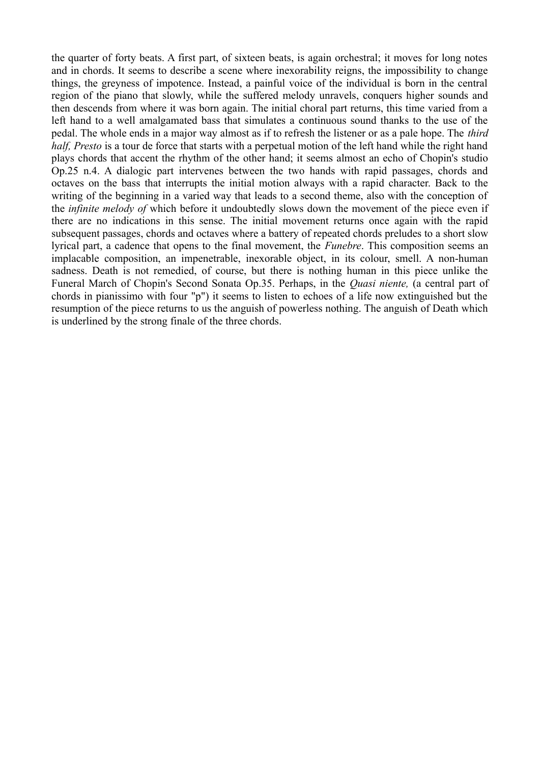the quarter of forty beats. A first part, of sixteen beats, is again orchestral; it moves for long notes and in chords. It seems to describe a scene where inexorability reigns, the impossibility to change things, the greyness of impotence. Instead, a painful voice of the individual is born in the central region of the piano that slowly, while the suffered melody unravels, conquers higher sounds and then descends from where it was born again. The initial choral part returns, this time varied from a left hand to a well amalgamated bass that simulates a continuous sound thanks to the use of the pedal. The whole ends in a major way almost as if to refresh the listener or as a pale hope. The *third half, Presto* is a tour de force that starts with a perpetual motion of the left hand while the right hand plays chords that accent the rhythm of the other hand; it seems almost an echo of Chopin's studio Op.25 n.4. A dialogic part intervenes between the two hands with rapid passages, chords and octaves on the bass that interrupts the initial motion always with a rapid character. Back to the writing of the beginning in a varied way that leads to a second theme, also with the conception of the *infinite melody of* which before it undoubtedly slows down the movement of the piece even if there are no indications in this sense. The initial movement returns once again with the rapid subsequent passages, chords and octaves where a battery of repeated chords preludes to a short slow lyrical part, a cadence that opens to the final movement, the *Funebre*. This composition seems an implacable composition, an impenetrable, inexorable object, in its colour, smell. A non-human sadness. Death is not remedied, of course, but there is nothing human in this piece unlike the Funeral March of Chopin's Second Sonata Op.35. Perhaps, in the *Quasi niente,* (a central part of chords in pianissimo with four "p") it seems to listen to echoes of a life now extinguished but the resumption of the piece returns to us the anguish of powerless nothing. The anguish of Death which is underlined by the strong finale of the three chords.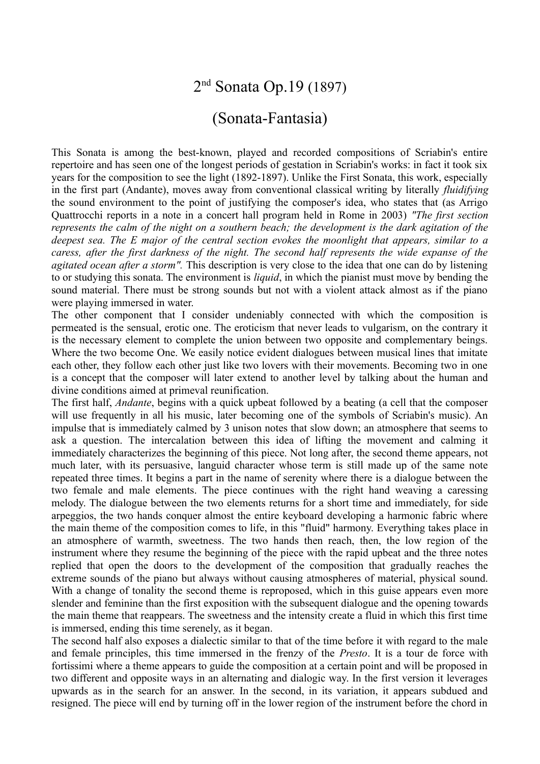### 2<sup>nd</sup> Sonata Op.19 (1897)

#### (Sonata-Fantasia)

This Sonata is among the best-known, played and recorded compositions of Scriabin's entire repertoire and has seen one of the longest periods of gestation in Scriabin's works: in fact it took six years for the composition to see the light (1892-1897). Unlike the First Sonata, this work, especially in the first part (Andante), moves away from conventional classical writing by literally *fluidifying* the sound environment to the point of justifying the composer's idea, who states that (as Arrigo Quattrocchi reports in a note in a concert hall program held in Rome in 2003) *"The first section represents the calm of the night on a southern beach; the development is the dark agitation of the deepest sea. The E major of the central section evokes the moonlight that appears, similar to a caress, after the first darkness of the night. The second half represents the wide expanse of the agitated ocean after a storm".* This description is very close to the idea that one can do by listening to or studying this sonata. The environment is *liquid*, in which the pianist must move by bending the sound material. There must be strong sounds but not with a violent attack almost as if the piano were playing immersed in water.

The other component that I consider undeniably connected with which the composition is permeated is the sensual, erotic one. The eroticism that never leads to vulgarism, on the contrary it is the necessary element to complete the union between two opposite and complementary beings. Where the two become One. We easily notice evident dialogues between musical lines that imitate each other, they follow each other just like two lovers with their movements. Becoming two in one is a concept that the composer will later extend to another level by talking about the human and divine conditions aimed at primeval reunification.

The first half, *Andante*, begins with a quick upbeat followed by a beating (a cell that the composer will use frequently in all his music, later becoming one of the symbols of Scriabin's music). An impulse that is immediately calmed by 3 unison notes that slow down; an atmosphere that seems to ask a question. The intercalation between this idea of lifting the movement and calming it immediately characterizes the beginning of this piece. Not long after, the second theme appears, not much later, with its persuasive, languid character whose term is still made up of the same note repeated three times. It begins a part in the name of serenity where there is a dialogue between the two female and male elements. The piece continues with the right hand weaving a caressing melody. The dialogue between the two elements returns for a short time and immediately, for side arpeggios, the two hands conquer almost the entire keyboard developing a harmonic fabric where the main theme of the composition comes to life, in this "fluid" harmony. Everything takes place in an atmosphere of warmth, sweetness. The two hands then reach, then, the low region of the instrument where they resume the beginning of the piece with the rapid upbeat and the three notes replied that open the doors to the development of the composition that gradually reaches the extreme sounds of the piano but always without causing atmospheres of material, physical sound. With a change of tonality the second theme is reproposed, which in this guise appears even more slender and feminine than the first exposition with the subsequent dialogue and the opening towards the main theme that reappears. The sweetness and the intensity create a fluid in which this first time is immersed, ending this time serenely, as it began.

The second half also exposes a dialectic similar to that of the time before it with regard to the male and female principles, this time immersed in the frenzy of the *Presto*. It is a tour de force with fortissimi where a theme appears to guide the composition at a certain point and will be proposed in two different and opposite ways in an alternating and dialogic way. In the first version it leverages upwards as in the search for an answer. In the second, in its variation, it appears subdued and resigned. The piece will end by turning off in the lower region of the instrument before the chord in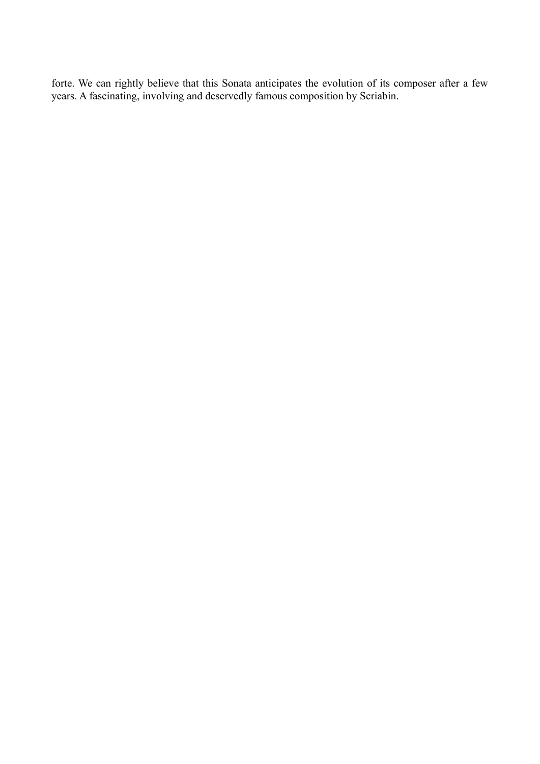forte. We can rightly believe that this Sonata anticipates the evolution of its composer after a few years. A fascinating, involving and deservedly famous composition by Scriabin.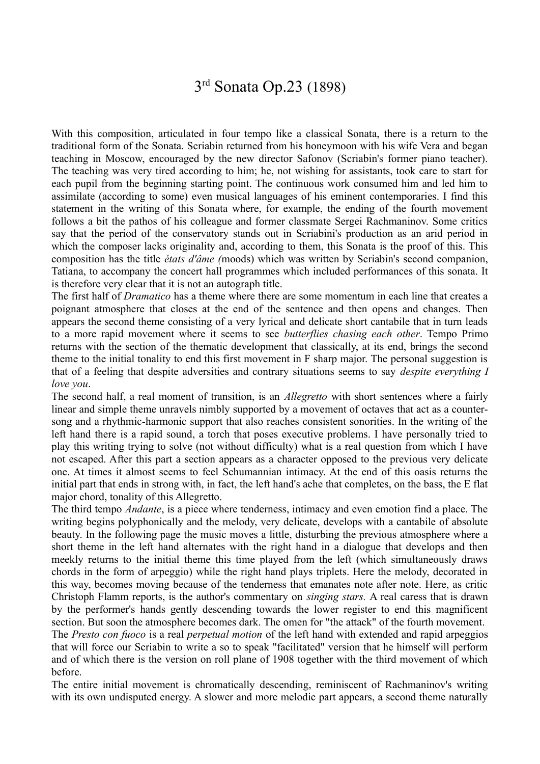### 3<sup>rd</sup> Sonata Op.23 (1898)

With this composition, articulated in four tempo like a classical Sonata, there is a return to the traditional form of the Sonata. Scriabin returned from his honeymoon with his wife Vera and began teaching in Moscow, encouraged by the new director Safonov (Scriabin's former piano teacher). The teaching was very tired according to him; he, not wishing for assistants, took care to start for each pupil from the beginning starting point. The continuous work consumed him and led him to assimilate (according to some) even musical languages of his eminent contemporaries. I find this statement in the writing of this Sonata where, for example, the ending of the fourth movement follows a bit the pathos of his colleague and former classmate Sergei Rachmaninov. Some critics say that the period of the conservatory stands out in Scriabini's production as an arid period in which the composer lacks originality and, according to them, this Sonata is the proof of this. This composition has the title *états d'âme (*moods) which was written by Scriabin's second companion, Tatiana, to accompany the concert hall programmes which included performances of this sonata. It is therefore very clear that it is not an autograph title.

The first half of *Dramatico* has a theme where there are some momentum in each line that creates a poignant atmosphere that closes at the end of the sentence and then opens and changes. Then appears the second theme consisting of a very lyrical and delicate short cantabile that in turn leads to a more rapid movement where it seems to see *butterflies chasing each other*. Tempo Primo returns with the section of the thematic development that classically, at its end, brings the second theme to the initial tonality to end this first movement in F sharp major. The personal suggestion is that of a feeling that despite adversities and contrary situations seems to say *despite everything I love you*.

The second half, a real moment of transition, is an *Allegretto* with short sentences where a fairly linear and simple theme unravels nimbly supported by a movement of octaves that act as a countersong and a rhythmic-harmonic support that also reaches consistent sonorities. In the writing of the left hand there is a rapid sound, a torch that poses executive problems. I have personally tried to play this writing trying to solve (not without difficulty) what is a real question from which I have not escaped. After this part a section appears as a character opposed to the previous very delicate one. At times it almost seems to feel Schumannian intimacy. At the end of this oasis returns the initial part that ends in strong with, in fact, the left hand's ache that completes, on the bass, the E flat major chord, tonality of this Allegretto.

The third tempo *Andante*, is a piece where tenderness, intimacy and even emotion find a place. The writing begins polyphonically and the melody, very delicate, develops with a cantabile of absolute beauty. In the following page the music moves a little, disturbing the previous atmosphere where a short theme in the left hand alternates with the right hand in a dialogue that develops and then meekly returns to the initial theme this time played from the left (which simultaneously draws chords in the form of arpeggio) while the right hand plays triplets. Here the melody, decorated in this way, becomes moving because of the tenderness that emanates note after note. Here, as critic Christoph Flamm reports, is the author's commentary on *singing stars.* A real caress that is drawn by the performer's hands gently descending towards the lower register to end this magnificent section. But soon the atmosphere becomes dark. The omen for "the attack" of the fourth movement.

The *Presto con fuoco* is a real *perpetual motion* of the left hand with extended and rapid arpeggios that will force our Scriabin to write a so to speak "facilitated" version that he himself will perform and of which there is the version on roll plane of 1908 together with the third movement of which before.

The entire initial movement is chromatically descending, reminiscent of Rachmaninov's writing with its own undisputed energy. A slower and more melodic part appears, a second theme naturally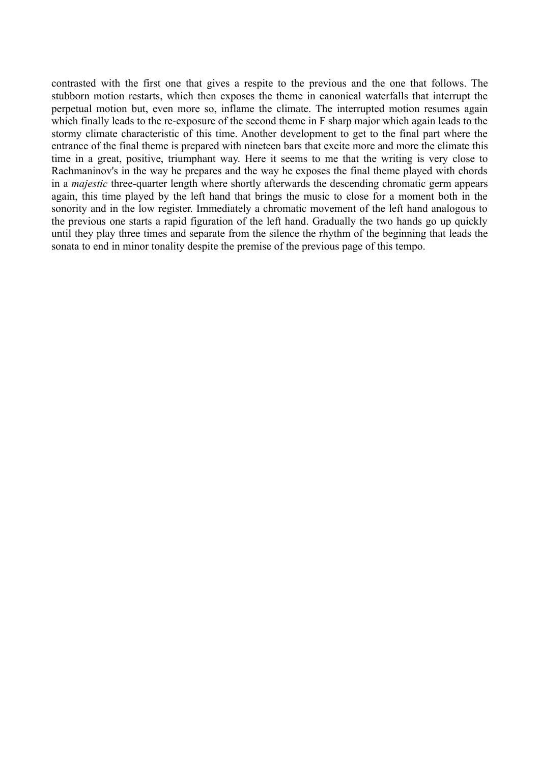contrasted with the first one that gives a respite to the previous and the one that follows. The stubborn motion restarts, which then exposes the theme in canonical waterfalls that interrupt the perpetual motion but, even more so, inflame the climate. The interrupted motion resumes again which finally leads to the re-exposure of the second theme in F sharp major which again leads to the stormy climate characteristic of this time. Another development to get to the final part where the entrance of the final theme is prepared with nineteen bars that excite more and more the climate this time in a great, positive, triumphant way. Here it seems to me that the writing is very close to Rachmaninov's in the way he prepares and the way he exposes the final theme played with chords in a *majestic* three-quarter length where shortly afterwards the descending chromatic germ appears again, this time played by the left hand that brings the music to close for a moment both in the sonority and in the low register. Immediately a chromatic movement of the left hand analogous to the previous one starts a rapid figuration of the left hand. Gradually the two hands go up quickly until they play three times and separate from the silence the rhythm of the beginning that leads the sonata to end in minor tonality despite the premise of the previous page of this tempo.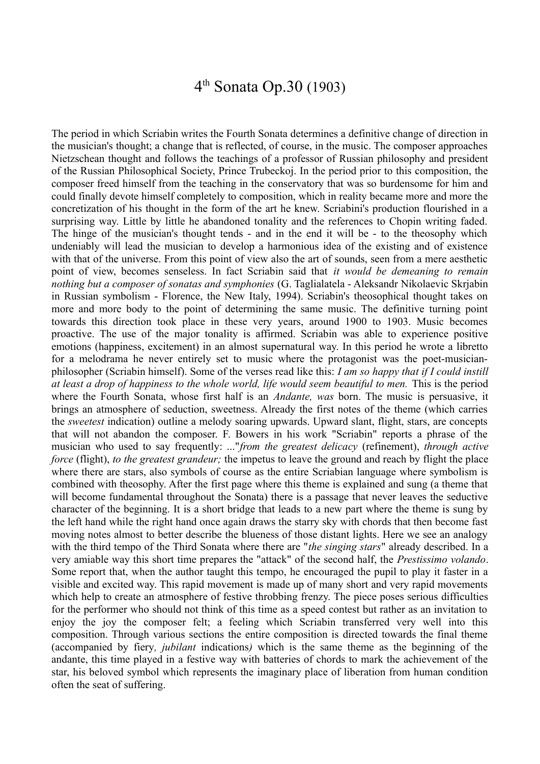### 4 th Sonata Op.30 (1903)

The period in which Scriabin writes the Fourth Sonata determines a definitive change of direction in the musician's thought; a change that is reflected, of course, in the music. The composer approaches Nietzschean thought and follows the teachings of a professor of Russian philosophy and president of the Russian Philosophical Society, Prince Trubeckoj. In the period prior to this composition, the composer freed himself from the teaching in the conservatory that was so burdensome for him and could finally devote himself completely to composition, which in reality became more and more the concretization of his thought in the form of the art he knew. Scriabini's production flourished in a surprising way. Little by little he abandoned tonality and the references to Chopin writing faded. The hinge of the musician's thought tends - and in the end it will be - to the theosophy which undeniably will lead the musician to develop a harmonious idea of the existing and of existence with that of the universe. From this point of view also the art of sounds, seen from a mere aesthetic point of view, becomes senseless. In fact Scriabin said that *it would be demeaning to remain nothing but a composer of sonatas and symphonies* (G. Taglialatela - Aleksandr Nikolaevic Skrjabin in Russian symbolism - Florence, the New Italy, 1994). Scriabin's theosophical thought takes on more and more body to the point of determining the same music. The definitive turning point towards this direction took place in these very years, around 1900 to 1903. Music becomes proactive. The use of the major tonality is affirmed. Scriabin was able to experience positive emotions (happiness, excitement) in an almost supernatural way. In this period he wrote a libretto for a melodrama he never entirely set to music where the protagonist was the poet-musicianphilosopher (Scriabin himself). Some of the verses read like this: *I am so happy that if I could instill at least a drop of happiness to the whole world, life would seem beautiful to men.* This is the period where the Fourth Sonata, whose first half is an *Andante, was* born. The music is persuasive, it brings an atmosphere of seduction, sweetness. Already the first notes of the theme (which carries the *sweetest* indication) outline a melody soaring upwards. Upward slant, flight, stars, are concepts that will not abandon the composer. F. Bowers in his work "Scriabin" reports a phrase of the musician who used to say frequently: ..."*from the greatest delicacy* (refinement), *through active force* (flight), *to the greatest grandeur*; the impetus to leave the ground and reach by flight the place where there are stars, also symbols of course as the entire Scriabian language where symbolism is combined with theosophy. After the first page where this theme is explained and sung (a theme that will become fundamental throughout the Sonata) there is a passage that never leaves the seductive character of the beginning. It is a short bridge that leads to a new part where the theme is sung by the left hand while the right hand once again draws the starry sky with chords that then become fast moving notes almost to better describe the blueness of those distant lights. Here we see an analogy with the third tempo of the Third Sonata where there are "*the singing stars*" already described. In a very amiable way this short time prepares the "attack" of the second half, the *Prestissimo volando*. Some report that, when the author taught this tempo, he encouraged the pupil to play it faster in a visible and excited way. This rapid movement is made up of many short and very rapid movements which help to create an atmosphere of festive throbbing frenzy. The piece poses serious difficulties for the performer who should not think of this time as a speed contest but rather as an invitation to enjoy the joy the composer felt; a feeling which Scriabin transferred very well into this composition. Through various sections the entire composition is directed towards the final theme (accompanied by fiery*, jubilant* indications*)* which is the same theme as the beginning of the andante, this time played in a festive way with batteries of chords to mark the achievement of the star, his beloved symbol which represents the imaginary place of liberation from human condition often the seat of suffering.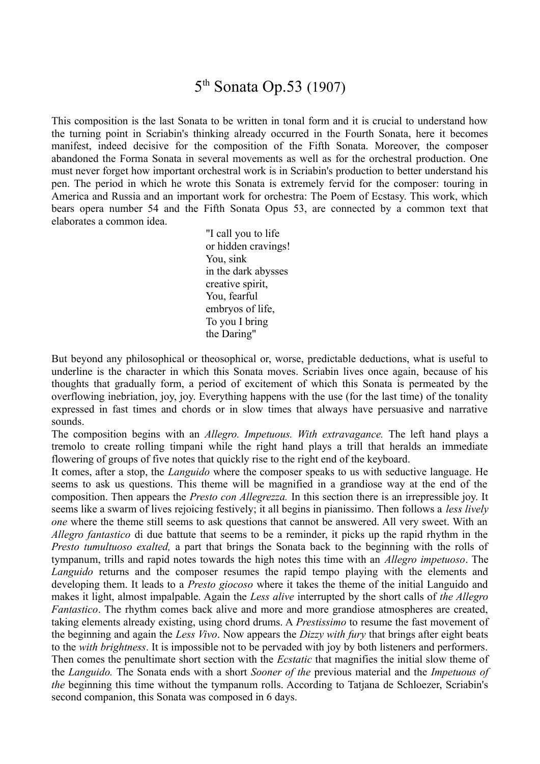### 5<sup>th</sup> Sonata Op.53 (1907)

This composition is the last Sonata to be written in tonal form and it is crucial to understand how the turning point in Scriabin's thinking already occurred in the Fourth Sonata, here it becomes manifest, indeed decisive for the composition of the Fifth Sonata. Moreover, the composer abandoned the Forma Sonata in several movements as well as for the orchestral production. One must never forget how important orchestral work is in Scriabin's production to better understand his pen. The period in which he wrote this Sonata is extremely fervid for the composer: touring in America and Russia and an important work for orchestra: The Poem of Ecstasy. This work, which bears opera number 54 and the Fifth Sonata Opus 53, are connected by a common text that elaborates a common idea.

> "I call you to life or hidden cravings! You, sink in the dark abysses creative spirit, You, fearful embryos of life, To you I bring the Daring"

But beyond any philosophical or theosophical or, worse, predictable deductions, what is useful to underline is the character in which this Sonata moves. Scriabin lives once again, because of his thoughts that gradually form, a period of excitement of which this Sonata is permeated by the overflowing inebriation, joy, joy. Everything happens with the use (for the last time) of the tonality expressed in fast times and chords or in slow times that always have persuasive and narrative sounds.

The composition begins with an *Allegro. Impetuous. With extravagance.* The left hand plays a tremolo to create rolling timpani while the right hand plays a trill that heralds an immediate flowering of groups of five notes that quickly rise to the right end of the keyboard.

It comes, after a stop, the *Languido* where the composer speaks to us with seductive language. He seems to ask us questions. This theme will be magnified in a grandiose way at the end of the composition. Then appears the *Presto con Allegrezza.* In this section there is an irrepressible joy. It seems like a swarm of lives rejoicing festively; it all begins in pianissimo. Then follows a *less lively one* where the theme still seems to ask questions that cannot be answered. All very sweet. With an *Allegro fantastico* di due battute that seems to be a reminder, it picks up the rapid rhythm in the *Presto tumultuoso exalted,* a part that brings the Sonata back to the beginning with the rolls of tympanum, trills and rapid notes towards the high notes this time with an *Allegro impetuoso*. The *Languido* returns and the composer resumes the rapid tempo playing with the elements and developing them. It leads to a *Presto giocoso* where it takes the theme of the initial Languido and makes it light, almost impalpable. Again the *Less alive* interrupted by the short calls of *the Allegro Fantastico*. The rhythm comes back alive and more and more grandiose atmospheres are created, taking elements already existing, using chord drums. A *Prestissimo* to resume the fast movement of the beginning and again the *Less Vivo*. Now appears the *Dizzy with fury* that brings after eight beats to the *with brightness*. It is impossible not to be pervaded with joy by both listeners and performers. Then comes the penultimate short section with the *Ecstatic* that magnifies the initial slow theme of the *Languido.* The Sonata ends with a short *Sooner of the* previous material and the *Impetuous of the* beginning this time without the tympanum rolls. According to Tatjana de Schloezer, Scriabin's second companion, this Sonata was composed in 6 days.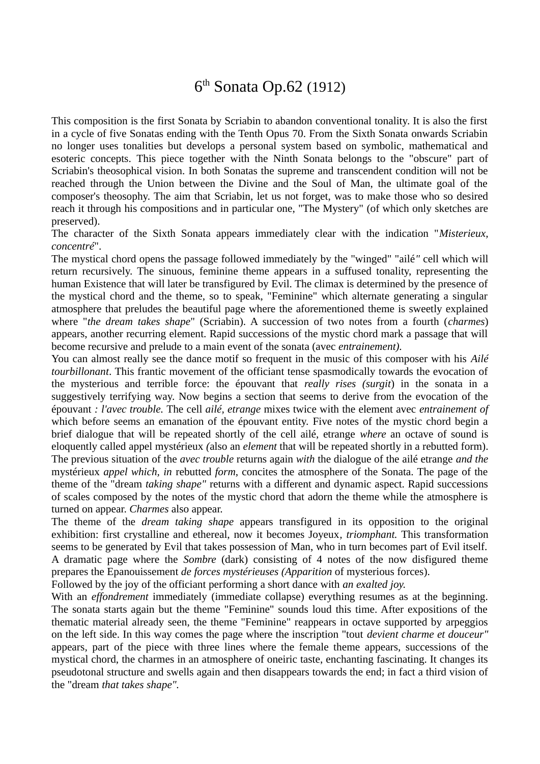# 6<sup>th</sup> Sonata Op.62 (1912)

This composition is the first Sonata by Scriabin to abandon conventional tonality. It is also the first in a cycle of five Sonatas ending with the Tenth Opus 70. From the Sixth Sonata onwards Scriabin no longer uses tonalities but develops a personal system based on symbolic, mathematical and esoteric concepts. This piece together with the Ninth Sonata belongs to the "obscure" part of Scriabin's theosophical vision. In both Sonatas the supreme and transcendent condition will not be reached through the Union between the Divine and the Soul of Man, the ultimate goal of the composer's theosophy. The aim that Scriabin, let us not forget, was to make those who so desired reach it through his compositions and in particular one, "The Mystery" (of which only sketches are preserved).

The character of the Sixth Sonata appears immediately clear with the indication "*Misterieux, concentré*".

The mystical chord opens the passage followed immediately by the "winged" "ailé*"* cell which will return recursively. The sinuous, feminine theme appears in a suffused tonality, representing the human Existence that will later be transfigured by Evil. The climax is determined by the presence of the mystical chord and the theme, so to speak, "Feminine" which alternate generating a singular atmosphere that preludes the beautiful page where the aforementioned theme is sweetly explained where "*the dream takes shape*" (Scriabin). A succession of two notes from a fourth (*charmes*) appears, another recurring element. Rapid successions of the mystic chord mark a passage that will become recursive and prelude to a main event of the sonata (avec *entrainement).*

You can almost really see the dance motif so frequent in the music of this composer with his *Ailé tourbillonant*. This frantic movement of the officiant tense spasmodically towards the evocation of the mysterious and terrible force: the épouvant that *really rises (surgit*) in the sonata in a suggestively terrifying way. Now begins a section that seems to derive from the evocation of the épouvant *: l'avec trouble.* The cell *ailé, etrange* mixes twice with the element avec *entrainement of* which before seems an emanation of the épouvant entity. Five notes of the mystic chord begin a brief dialogue that will be repeated shortly of the cell ailé, etrange *where* an octave of sound is eloquently called appel mystérieux *(*also an *element* that will be repeated shortly in a rebutted form). The previous situation of the *avec trouble* returns again *with* the dialogue of the ailé etrange *and the* mystérieux *appel which, in* rebutted *form*, concites the atmosphere of the Sonata. The page of the theme of the "dream *taking shape"* returns with a different and dynamic aspect. Rapid successions of scales composed by the notes of the mystic chord that adorn the theme while the atmosphere is turned on appear. *Charmes* also appear.

The theme of the *dream taking shape* appears transfigured in its opposition to the original exhibition: first crystalline and ethereal, now it becomes Joyeux*, triomphant.* This transformation seems to be generated by Evil that takes possession of Man, who in turn becomes part of Evil itself. A dramatic page where the *Sombre* (dark) consisting of 4 notes of the now disfigured theme prepares the Epanouissement *de forces mystérieuses (Apparition* of mysterious forces).

Followed by the joy of the officiant performing a short dance with *an exalted joy.*

With an *effondrement* immediately (immediate collapse) everything resumes as at the beginning. The sonata starts again but the theme "Feminine" sounds loud this time. After expositions of the thematic material already seen, the theme "Feminine" reappears in octave supported by arpeggios on the left side. In this way comes the page where the inscription "tout *devient charme et douceur"* appears*,* part of the piece with three lines where the female theme appears, successions of the mystical chord, the charmes in an atmosphere of oneiric taste, enchanting fascinating. It changes its pseudotonal structure and swells again and then disappears towards the end; in fact a third vision of the "dream *that takes shape".*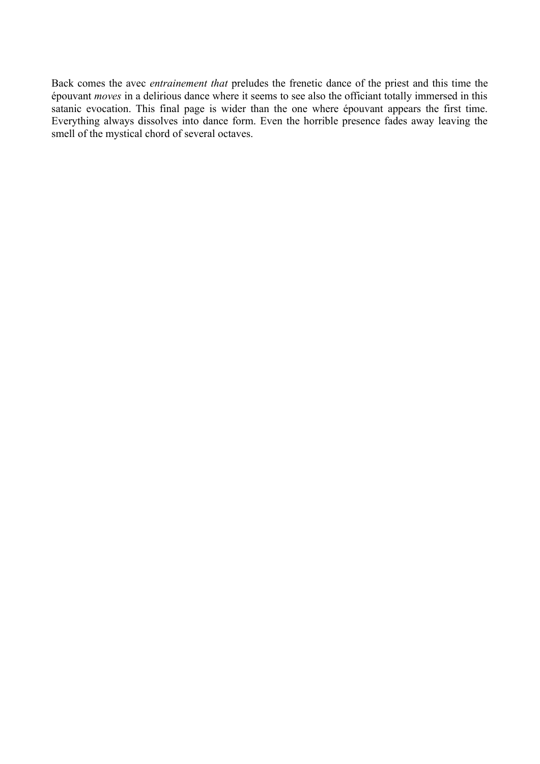Back comes the avec *entrainement that* preludes the frenetic dance of the priest and this time the épouvant *moves* in a delirious dance where it seems to see also the officiant totally immersed in this satanic evocation. This final page is wider than the one where épouvant appears the first time. Everything always dissolves into dance form. Even the horrible presence fades away leaving the smell of the mystical chord of several octaves.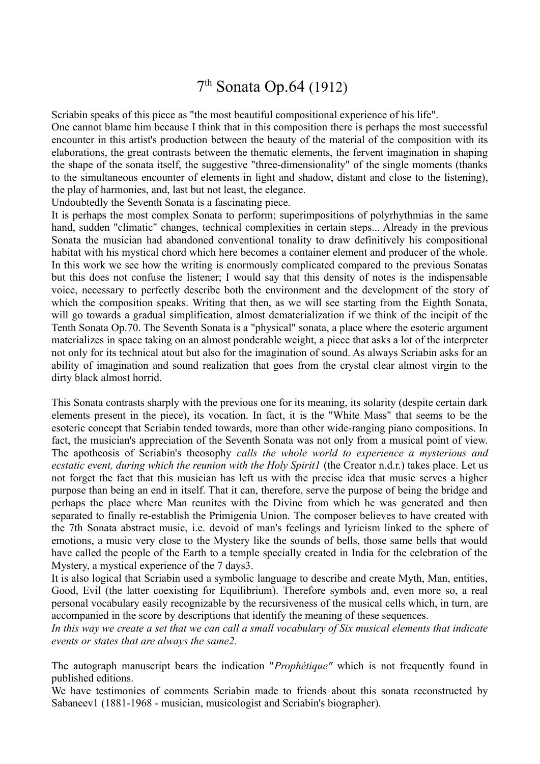# 7<sup>th</sup> Sonata Op.64 (1912)

Scriabin speaks of this piece as "the most beautiful compositional experience of his life". One cannot blame him because I think that in this composition there is perhaps the most successful encounter in this artist's production between the beauty of the material of the composition with its elaborations, the great contrasts between the thematic elements, the fervent imagination in shaping the shape of the sonata itself, the suggestive "three-dimensionality" of the single moments (thanks to the simultaneous encounter of elements in light and shadow, distant and close to the listening), the play of harmonies, and, last but not least, the elegance.

Undoubtedly the Seventh Sonata is a fascinating piece.

It is perhaps the most complex Sonata to perform; superimpositions of polyrhythmias in the same hand, sudden "climatic" changes, technical complexities in certain steps... Already in the previous Sonata the musician had abandoned conventional tonality to draw definitively his compositional habitat with his mystical chord which here becomes a container element and producer of the whole. In this work we see how the writing is enormously complicated compared to the previous Sonatas but this does not confuse the listener; I would say that this density of notes is the indispensable voice, necessary to perfectly describe both the environment and the development of the story of which the composition speaks. Writing that then, as we will see starting from the Eighth Sonata, will go towards a gradual simplification, almost dematerialization if we think of the incipit of the Tenth Sonata Op.70. The Seventh Sonata is a "physical" sonata, a place where the esoteric argument materializes in space taking on an almost ponderable weight, a piece that asks a lot of the interpreter not only for its technical atout but also for the imagination of sound. As always Scriabin asks for an ability of imagination and sound realization that goes from the crystal clear almost virgin to the dirty black almost horrid.

This Sonata contrasts sharply with the previous one for its meaning, its solarity (despite certain dark elements present in the piece), its vocation. In fact, it is the "White Mass" that seems to be the esoteric concept that Scriabin tended towards, more than other wide-ranging piano compositions. In fact, the musician's appreciation of the Seventh Sonata was not only from a musical point of view. The apotheosis of Scriabin's theosophy *calls the whole world to experience a mysterious and ecstatic event, during which the reunion with the Holy Spirit1* (the Creator n.d.r.) takes place. Let us not forget the fact that this musician has left us with the precise idea that music serves a higher purpose than being an end in itself. That it can, therefore, serve the purpose of being the bridge and perhaps the place where Man reunites with the Divine from which he was generated and then separated to finally re-establish the Primigenia Union. The composer believes to have created with the 7th Sonata abstract music, i.e. devoid of man's feelings and lyricism linked to the sphere of emotions, a music very close to the Mystery like the sounds of bells, those same bells that would have called the people of the Earth to a temple specially created in India for the celebration of the Mystery, a mystical experience of the 7 days3.

It is also logical that Scriabin used a symbolic language to describe and create Myth, Man, entities, Good, Evil (the latter coexisting for Equilibrium). Therefore symbols and, even more so, a real personal vocabulary easily recognizable by the recursiveness of the musical cells which, in turn, are accompanied in the score by descriptions that identify the meaning of these sequences.

*In this way we create a set that we can call a small vocabulary of Six musical elements that indicate events or states that are always the same2.*

The autograph manuscript bears the indication "*Prophétique"* which is not frequently found in published editions.

We have testimonies of comments Scriabin made to friends about this sonata reconstructed by Sabaneev1 (1881-1968 - musician, musicologist and Scriabin's biographer).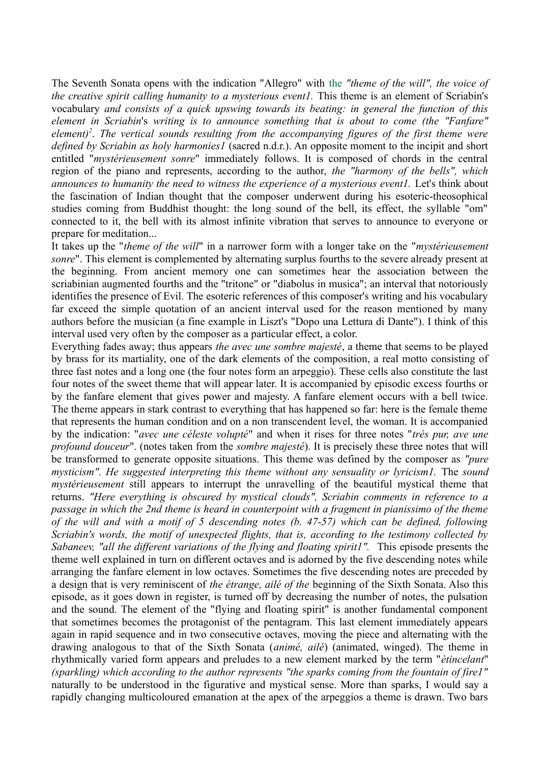The Seventh Sonata opens with the indication "Allegro" with the *"theme of the will", the voice of the creative spirit calling humanity to a mysterious event1.* This theme is an element of Scriabin's vocabulary *and consists of a quick upswing towards its beating: in general the function of this element in Scriabin*'s *writing is to announce something that is about to come (the "Fanfare" element)<sup>2</sup>* . *The vertical sounds resulting from the accompanying figures of the first theme were defined by Scriabin as holy harmonies1* (sacred n.d.r.). An opposite moment to the incipit and short entitled "*mystérieusement sonre*" immediately follows. It is composed of chords in the central region of the piano and represents, according to the author, *the "harmony of the bells", which announces to humanity the need to witness the experience of a mysterious event1.* Let's think about the fascination of Indian thought that the composer underwent during his esoteric-theosophical studies coming from Buddhist thought: the long sound of the bell, its effect, the syllable "om" connected to it, the bell with its almost infinite vibration that serves to announce to everyone or prepare for meditation...

It takes up the "*theme of the will*" in a narrower form with a longer take on the "*mystérieusement sonre*". This element is complemented by alternating surplus fourths to the severe already present at the beginning. From ancient memory one can sometimes hear the association between the scriabinian augmented fourths and the "tritone" or "diabolus in musica"; an interval that notoriously identifies the presence of Evil. The esoteric references of this composer's writing and his vocabulary far exceed the simple quotation of an ancient interval used for the reason mentioned by many authors before the musician (a fine example in Liszt's "Dopo una Lettura di Dante"). I think of this interval used very often by the composer as a particular effect, a color.

Everything fades away; thus appears *the avec une sombre majesté*, a theme that seems to be played by brass for its martiality, one of the dark elements of the composition, a real motto consisting of three fast notes and a long one (the four notes form an arpeggio). These cells also constitute the last four notes of the sweet theme that will appear later. It is accompanied by episodic excess fourths or by the fanfare element that gives power and majesty. A fanfare element occurs with a bell twice. The theme appears in stark contrast to everything that has happened so far: here is the female theme that represents the human condition and on a non transcendent level, the woman. It is accompanied by the indication: "*avec une céleste volupté*" and when it rises for three notes "*très pur, ave une profound douceur*". (notes taken from the *sombre majesté*). It is precisely these three notes that will be transformed to generate opposite situations. This theme was defined by the composer as *"pure mysticism". He suggested interpreting this theme without any sensuality or lyricism1.* The *sound mystérieusement* still appears to interrupt the unravelling of the beautiful mystical theme that returns. *"Here everything is obscured by mystical clouds", Scriabin comments in reference to a passage in which the 2nd theme is heard in counterpoint with a fragment in pianissimo of the theme of the will and with a motif of 5 descending notes (b. 47-57) which can be defined, following Scriabin's words, the motif of unexpected flights, that is, according to the testimony collected by Sabaneev, "all the different variations of the flying and floating spirit1".* This episode presents the theme well explained in turn on different octaves and is adorned by the five descending notes while arranging the fanfare element in low octaves. Sometimes the five descending notes are preceded by a design that is very reminiscent of *the étrange, ailé of the* beginning of the Sixth Sonata. Also this episode, as it goes down in register, is turned off by decreasing the number of notes, the pulsation and the sound. The element of the "flying and floating spirit" is another fundamental component that sometimes becomes the protagonist of the pentagram. This last element immediately appears again in rapid sequence and in two consecutive octaves, moving the piece and alternating with the drawing analogous to that of the Sixth Sonata (*animé, ailé*) (animated, winged). The theme in rhythmically varied form appears and preludes to a new element marked by the term "*ètincelant*" *(sparkling) which according to the author represents "the sparks coming from the fountain of fire1"* naturally to be understood in the figurative and mystical sense. More than sparks, I would say a rapidly changing multicoloured emanation at the apex of the arpeggios a theme is drawn. Two bars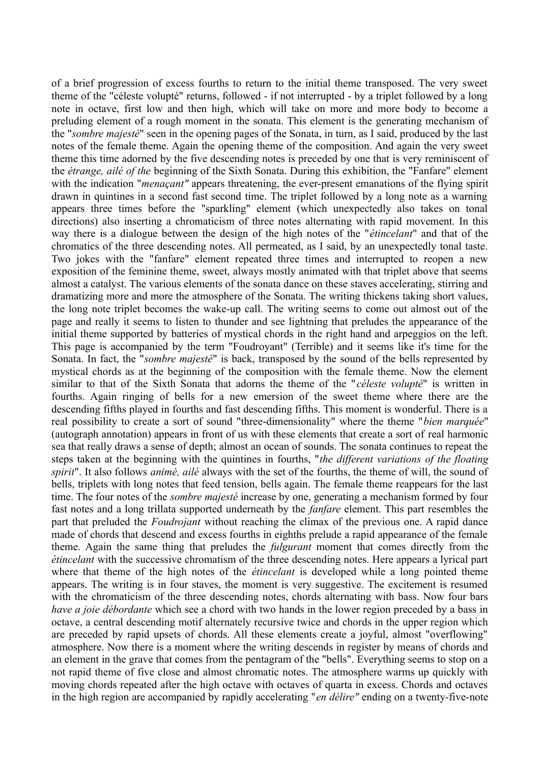of a brief progression of excess fourths to return to the initial theme transposed. The very sweet theme of the "céleste volupté" returns, followed - if not interrupted - by a triplet followed by a long note in octave, first low and then high, which will take on more and more body to become a preluding element of a rough moment in the sonata. This element is the generating mechanism of the "*sombre majesté*" seen in the opening pages of the Sonata, in turn, as I said, produced by the last notes of the female theme. Again the opening theme of the composition. And again the very sweet theme this time adorned by the five descending notes is preceded by one that is very reminiscent of the *étrange, ailé of the* beginning of the Sixth Sonata. During this exhibition, the "Fanfare" element with the indication "*menaçant*" appears threatening, the ever-present emanations of the flying spirit drawn in quintines in a second fast second time. The triplet followed by a long note as a warning appears three times before the "sparkling" element (which unexpectedly also takes on tonal directions) also inserting a chromaticism of three notes alternating with rapid movement. In this way there is a dialogue between the design of the high notes of the "*étincelant*" and that of the chromatics of the three descending notes. All permeated, as I said, by an unexpectedly tonal taste. Two jokes with the "fanfare" element repeated three times and interrupted to reopen a new exposition of the feminine theme, sweet, always mostly animated with that triplet above that seems almost a catalyst. The various elements of the sonata dance on these staves accelerating, stirring and dramatizing more and more the atmosphere of the Sonata. The writing thickens taking short values, the long note triplet becomes the wake-up call. The writing seems to come out almost out of the page and really it seems to listen to thunder and see lightning that preludes the appearance of the initial theme supported by batteries of mystical chords in the right hand and arpeggios on the left. This page is accompanied by the term "Foudroyant" (Terrible) and it seems like it's time for the Sonata. In fact, the "*sombre majesté*" is back, transposed by the sound of the bells represented by mystical chords as at the beginning of the composition with the female theme. Now the element similar to that of the Sixth Sonata that adorns the theme of the "*céleste volupté*" is written in fourths. Again ringing of bells for a new emersion of the sweet theme where there are the descending fifths played in fourths and fast descending fifths. This moment is wonderful. There is a real possibility to create a sort of sound "three-dimensionality" where the theme "*bien marquée*" (autograph annotation) appears in front of us with these elements that create a sort of real harmonic sea that really draws a sense of depth; almost an ocean of sounds. The sonata continues to repeat the steps taken at the beginning with the quintines in fourths, "*the different variations of the floating spirit*". It also follows *animé, ailé* always with the set of the fourths, the theme of will, the sound of bells, triplets with long notes that feed tension, bells again. The female theme reappears for the last time. The four notes of the *sombre majesté* increase by one, generating a mechanism formed by four fast notes and a long trillata supported underneath by the *fanfare* element. This part resembles the part that preluded the *Foudrojant* without reaching the climax of the previous one. A rapid dance made of chords that descend and excess fourths in eighths prelude a rapid appearance of the female theme. Again the same thing that preludes the *fulgurant* moment that comes directly from the *étincelant* with the successive chromatism of the three descending notes. Here appears a lyrical part where that theme of the high notes of the *étincelant* is developed while a long pointed theme appears. The writing is in four staves, the moment is very suggestive. The excitement is resumed with the chromaticism of the three descending notes, chords alternating with bass. Now four bars *have a joie débordante* which see a chord with two hands in the lower region preceded by a bass in octave, a central descending motif alternately recursive twice and chords in the upper region which are preceded by rapid upsets of chords. All these elements create a joyful, almost "overflowing" atmosphere. Now there is a moment where the writing descends in register by means of chords and an element in the grave that comes from the pentagram of the "bells". Everything seems to stop on a not rapid theme of five close and almost chromatic notes. The atmosphere warms up quickly with moving chords repeated after the high octave with octaves of quarta in excess. Chords and octaves in the high region are accompanied by rapidly accelerating "*en délire"* ending on a twenty-five-note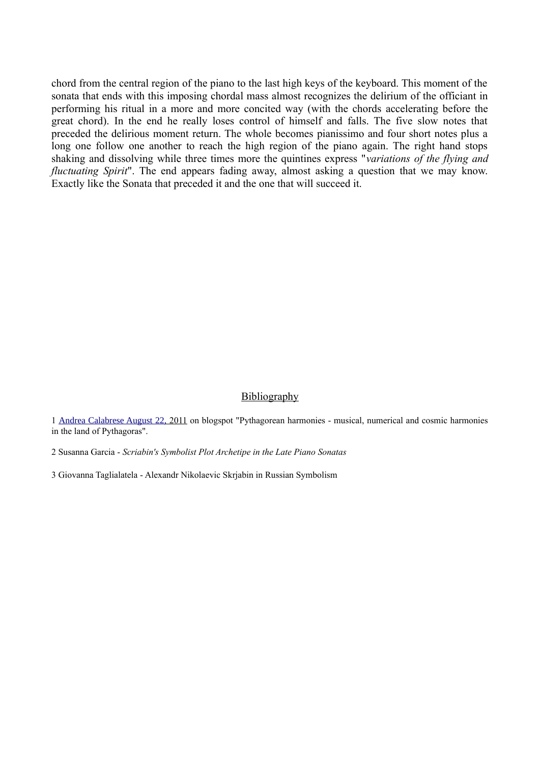chord from the central region of the piano to the last high keys of the keyboard. This moment of the sonata that ends with this imposing chordal mass almost recognizes the delirium of the officiant in performing his ritual in a more and more concited way (with the chords accelerating before the great chord). In the end he really loses control of himself and falls. The five slow notes that preceded the delirious moment return. The whole becomes pianissimo and four short notes plus a long one follow one another to reach the high region of the piano again. The right hand stops shaking and dissolving while three times more the quintines express "*variations of the flying and fluctuating Spirit*". The end appears fading away, almost asking a question that we may know. Exactly like the Sonata that preceded it and the one that will succeed it.

#### Bibliography

1 [Andrea Calabrese August 22,](http://armoniepitagoriche.blogspot.ch/2011/08/scriabin-sonata-n-7-op-64-per.html) 2011 on blogspot "Pythagorean harmonies - musical, numerical and cosmic harmonies in the land of Pythagoras".

2 Susanna Garcia - *Scriabin's Symbolist Plot Archetipe in the Late Piano Sonatas*

3 Giovanna Taglialatela - Alexandr Nikolaevic Skrjabin in Russian Symbolism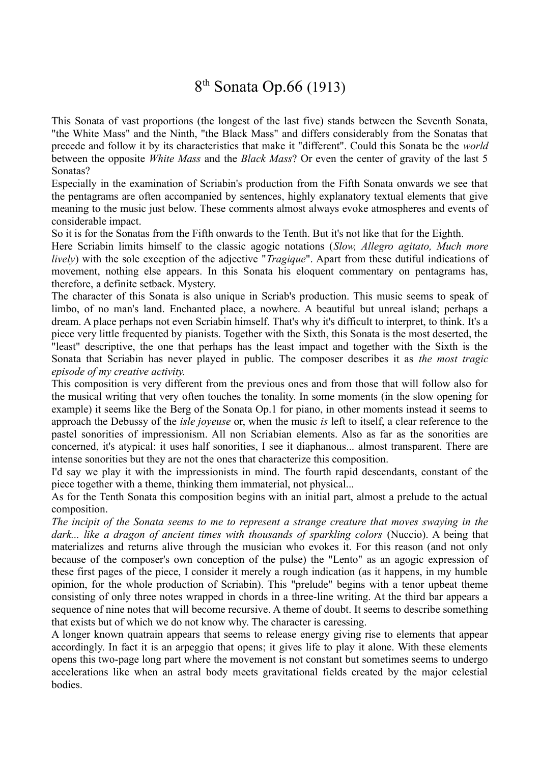# 8<sup>th</sup> Sonata Op.66 (1913)

This Sonata of vast proportions (the longest of the last five) stands between the Seventh Sonata, "the White Mass" and the Ninth, "the Black Mass" and differs considerably from the Sonatas that precede and follow it by its characteristics that make it "different". Could this Sonata be the *world* between the opposite *White Mass* and the *Black Mass*? Or even the center of gravity of the last 5 Sonatas?

Especially in the examination of Scriabin's production from the Fifth Sonata onwards we see that the pentagrams are often accompanied by sentences, highly explanatory textual elements that give meaning to the music just below. These comments almost always evoke atmospheres and events of considerable impact.

So it is for the Sonatas from the Fifth onwards to the Tenth. But it's not like that for the Eighth.

Here Scriabin limits himself to the classic agogic notations (*Slow, Allegro agitato, Much more lively*) with the sole exception of the adjective "*Tragique*". Apart from these dutiful indications of movement, nothing else appears. In this Sonata his eloquent commentary on pentagrams has, therefore, a definite setback. Mystery.

The character of this Sonata is also unique in Scriab's production. This music seems to speak of limbo, of no man's land. Enchanted place, a nowhere. A beautiful but unreal island; perhaps a dream. A place perhaps not even Scriabin himself. That's why it's difficult to interpret, to think. It's a piece very little frequented by pianists. Together with the Sixth, this Sonata is the most deserted, the "least" descriptive, the one that perhaps has the least impact and together with the Sixth is the Sonata that Scriabin has never played in public. The composer describes it as *the most tragic episode of my creative activity.*

This composition is very different from the previous ones and from those that will follow also for the musical writing that very often touches the tonality. In some moments (in the slow opening for example) it seems like the Berg of the Sonata Op.1 for piano, in other moments instead it seems to approach the Debussy of the *isle joyeuse* or, when the music *is* left to itself, a clear reference to the pastel sonorities of impressionism. All non Scriabian elements. Also as far as the sonorities are concerned, it's atypical: it uses half sonorities, I see it diaphanous... almost transparent. There are intense sonorities but they are not the ones that characterize this composition.

I'd say we play it with the impressionists in mind. The fourth rapid descendants, constant of the piece together with a theme, thinking them immaterial, not physical...

As for the Tenth Sonata this composition begins with an initial part, almost a prelude to the actual composition.

*The incipit of the Sonata seems to me to represent a strange creature that moves swaying in the dark... like a dragon of ancient times with thousands of sparkling colors* (Nuccio). A being that materializes and returns alive through the musician who evokes it. For this reason (and not only because of the composer's own conception of the pulse) the "Lento" as an agogic expression of these first pages of the piece, I consider it merely a rough indication (as it happens, in my humble opinion, for the whole production of Scriabin). This "prelude" begins with a tenor upbeat theme consisting of only three notes wrapped in chords in a three-line writing. At the third bar appears a sequence of nine notes that will become recursive. A theme of doubt. It seems to describe something that exists but of which we do not know why. The character is caressing.

A longer known quatrain appears that seems to release energy giving rise to elements that appear accordingly. In fact it is an arpeggio that opens; it gives life to play it alone. With these elements opens this two-page long part where the movement is not constant but sometimes seems to undergo accelerations like when an astral body meets gravitational fields created by the major celestial bodies.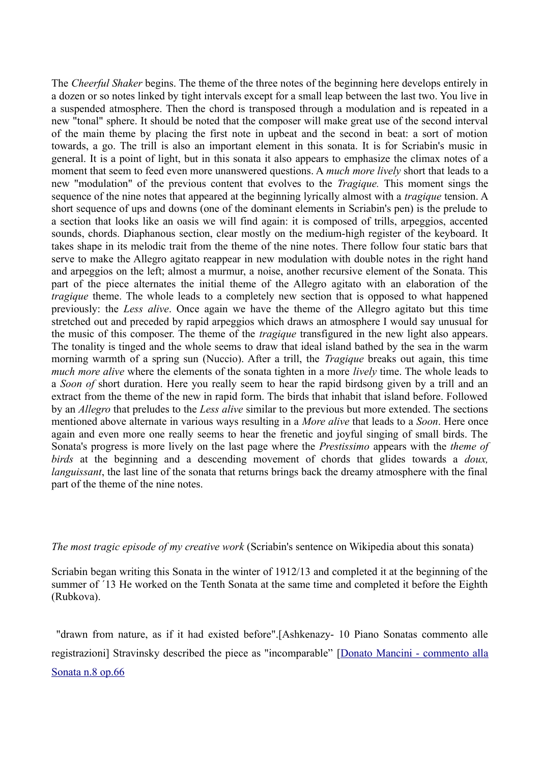The *Cheerful Shaker* begins. The theme of the three notes of the beginning here develops entirely in a dozen or so notes linked by tight intervals except for a small leap between the last two. You live in a suspended atmosphere. Then the chord is transposed through a modulation and is repeated in a new "tonal" sphere. It should be noted that the composer will make great use of the second interval of the main theme by placing the first note in upbeat and the second in beat: a sort of motion towards, a go. The trill is also an important element in this sonata. It is for Scriabin's music in general. It is a point of light, but in this sonata it also appears to emphasize the climax notes of a moment that seem to feed even more unanswered questions. A *much more lively* short that leads to a new "modulation" of the previous content that evolves to the *Tragique.* This moment sings the sequence of the nine notes that appeared at the beginning lyrically almost with a *tragique* tension. A short sequence of ups and downs (one of the dominant elements in Scriabin's pen) is the prelude to a section that looks like an oasis we will find again: it is composed of trills, arpeggios, accented sounds, chords. Diaphanous section, clear mostly on the medium-high register of the keyboard. It takes shape in its melodic trait from the theme of the nine notes. There follow four static bars that serve to make the Allegro agitato reappear in new modulation with double notes in the right hand and arpeggios on the left; almost a murmur, a noise, another recursive element of the Sonata. This part of the piece alternates the initial theme of the Allegro agitato with an elaboration of the *tragique* theme. The whole leads to a completely new section that is opposed to what happened previously: the *Less alive*. Once again we have the theme of the Allegro agitato but this time stretched out and preceded by rapid arpeggios which draws an atmosphere I would say unusual for the music of this composer. The theme of the *tragique* transfigured in the new light also appears. The tonality is tinged and the whole seems to draw that ideal island bathed by the sea in the warm morning warmth of a spring sun (Nuccio). After a trill, the *Tragique* breaks out again, this time *much more alive* where the elements of the sonata tighten in a more *lively* time. The whole leads to a *Soon of* short duration. Here you really seem to hear the rapid birdsong given by a trill and an extract from the theme of the new in rapid form. The birds that inhabit that island before. Followed by an *Allegro* that preludes to the *Less alive* similar to the previous but more extended. The sections mentioned above alternate in various ways resulting in a *More alive* that leads to a *Soon*. Here once again and even more one really seems to hear the frenetic and joyful singing of small birds. The Sonata's progress is more lively on the last page where the *Prestissimo* appears with the *theme of birds* at the beginning and a descending movement of chords that glides towards a *doux, languissant*, the last line of the sonata that returns brings back the dreamy atmosphere with the final part of the theme of the nine notes.

*The most tragic episode of my creative work* (Scriabin's sentence on Wikipedia about this sonata)

Scriabin began writing this Sonata in the winter of 1912/13 and completed it at the beginning of the summer of ´13 He worked on the Tenth Sonata at the same time and completed it before the Eighth (Rubkova).

"drawn from nature, as if it had existed before".[Ashkenazy- 10 Piano Sonatas commento alle registrazioni] Stravinsky described the piece as "incomparable" [\[Donato Mancini - commento alla](https://www.allmusic.com/composition/piano-sonata-no-8-op-66-mc0002365693) [Sonata n.8 op.66](https://www.allmusic.com/composition/piano-sonata-no-8-op-66-mc0002365693)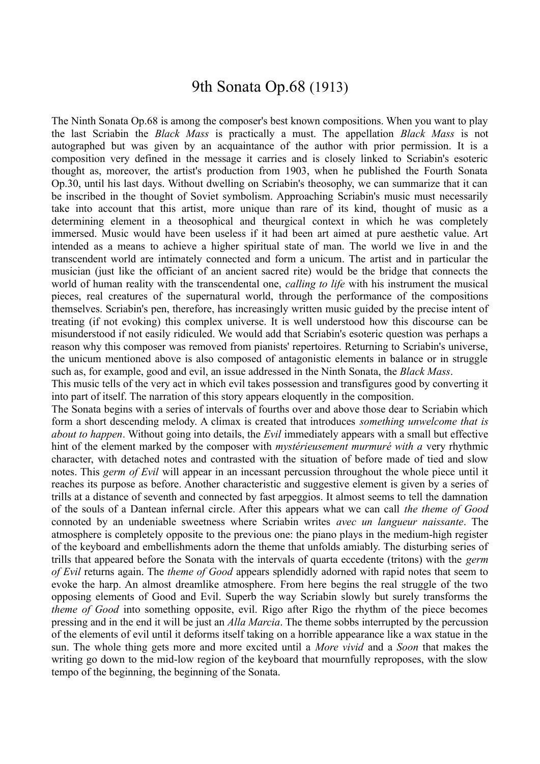#### 9th Sonata Op.68 (1913)

The Ninth Sonata Op.68 is among the composer's best known compositions. When you want to play the last Scriabin the *Black Mass* is practically a must. The appellation *Black Mass* is not autographed but was given by an acquaintance of the author with prior permission. It is a composition very defined in the message it carries and is closely linked to Scriabin's esoteric thought as, moreover, the artist's production from 1903, when he published the Fourth Sonata Op.30, until his last days. Without dwelling on Scriabin's theosophy, we can summarize that it can be inscribed in the thought of Soviet symbolism. Approaching Scriabin's music must necessarily take into account that this artist, more unique than rare of its kind, thought of music as a determining element in a theosophical and theurgical context in which he was completely immersed. Music would have been useless if it had been art aimed at pure aesthetic value. Art intended as a means to achieve a higher spiritual state of man. The world we live in and the transcendent world are intimately connected and form a unicum. The artist and in particular the musician (just like the officiant of an ancient sacred rite) would be the bridge that connects the world of human reality with the transcendental one, *calling to life* with his instrument the musical pieces, real creatures of the supernatural world, through the performance of the compositions themselves. Scriabin's pen, therefore, has increasingly written music guided by the precise intent of treating (if not evoking) this complex universe. It is well understood how this discourse can be misunderstood if not easily ridiculed. We would add that Scriabin's esoteric question was perhaps a reason why this composer was removed from pianists' repertoires. Returning to Scriabin's universe, the unicum mentioned above is also composed of antagonistic elements in balance or in struggle such as, for example, good and evil, an issue addressed in the Ninth Sonata, the *Black Mass*.

This music tells of the very act in which evil takes possession and transfigures good by converting it into part of itself. The narration of this story appears eloquently in the composition.

The Sonata begins with a series of intervals of fourths over and above those dear to Scriabin which form a short descending melody. A climax is created that introduces *something unwelcome that is about to happen*. Without going into details, the *Evil* immediately appears with a small but effective hint of the element marked by the composer with *mystérieusement murmuré with a* very rhythmic character, with detached notes and contrasted with the situation of before made of tied and slow notes. This *germ of Evil* will appear in an incessant percussion throughout the whole piece until it reaches its purpose as before. Another characteristic and suggestive element is given by a series of trills at a distance of seventh and connected by fast arpeggios. It almost seems to tell the damnation of the souls of a Dantean infernal circle. After this appears what we can call *the theme of Good* connoted by an undeniable sweetness where Scriabin writes *avec un langueur naissante*. The atmosphere is completely opposite to the previous one: the piano plays in the medium-high register of the keyboard and embellishments adorn the theme that unfolds amiably. The disturbing series of trills that appeared before the Sonata with the intervals of quarta eccedente (tritons) with the *germ of Evil* returns again. The *theme of Good* appears splendidly adorned with rapid notes that seem to evoke the harp. An almost dreamlike atmosphere. From here begins the real struggle of the two opposing elements of Good and Evil. Superb the way Scriabin slowly but surely transforms the *theme of Good* into something opposite, evil. Rigo after Rigo the rhythm of the piece becomes pressing and in the end it will be just an *Alla Marcia*. The theme sobbs interrupted by the percussion of the elements of evil until it deforms itself taking on a horrible appearance like a wax statue in the sun. The whole thing gets more and more excited until a *More vivid* and a *Soon* that makes the writing go down to the mid-low region of the keyboard that mournfully reproposes, with the slow tempo of the beginning, the beginning of the Sonata.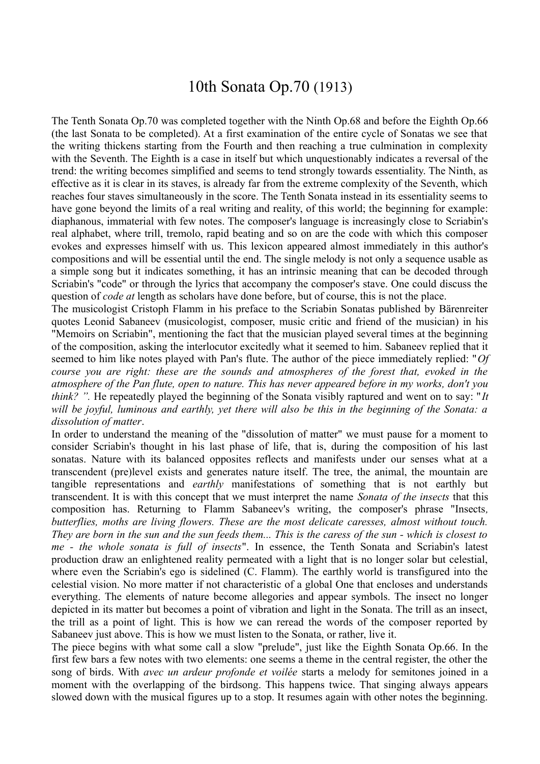#### 10th Sonata Op.70 (1913)

The Tenth Sonata Op.70 was completed together with the Ninth Op.68 and before the Eighth Op.66 (the last Sonata to be completed). At a first examination of the entire cycle of Sonatas we see that the writing thickens starting from the Fourth and then reaching a true culmination in complexity with the Seventh. The Eighth is a case in itself but which unquestionably indicates a reversal of the trend: the writing becomes simplified and seems to tend strongly towards essentiality. The Ninth, as effective as it is clear in its staves, is already far from the extreme complexity of the Seventh, which reaches four staves simultaneously in the score. The Tenth Sonata instead in its essentiality seems to have gone beyond the limits of a real writing and reality, of this world; the beginning for example: diaphanous, immaterial with few notes. The composer's language is increasingly close to Scriabin's real alphabet, where trill, tremolo, rapid beating and so on are the code with which this composer evokes and expresses himself with us. This lexicon appeared almost immediately in this author's compositions and will be essential until the end. The single melody is not only a sequence usable as a simple song but it indicates something, it has an intrinsic meaning that can be decoded through Scriabin's "code" or through the lyrics that accompany the composer's stave. One could discuss the question of *code at* length as scholars have done before, but of course, this is not the place.

The musicologist Cristoph Flamm in his preface to the Scriabin Sonatas published by Bärenreiter quotes Leonid Sabaneev (musicologist, composer, music critic and friend of the musician) in his "Memoirs on Scriabin", mentioning the fact that the musician played several times at the beginning of the composition, asking the interlocutor excitedly what it seemed to him. Sabaneev replied that it seemed to him like notes played with Pan's flute. The author of the piece immediately replied: "*Of course you are right: these are the sounds and atmospheres of the forest that, evoked in the atmosphere of the Pan flute, open to nature. This has never appeared before in my works, don't you think? ".* He repeatedly played the beginning of the Sonata visibly raptured and went on to say: "*It will be joyful, luminous and earthly, yet there will also be this in the beginning of the Sonata: a dissolution of matter*.

In order to understand the meaning of the "dissolution of matter" we must pause for a moment to consider Scriabin's thought in his last phase of life, that is, during the composition of his last sonatas. Nature with its balanced opposites reflects and manifests under our senses what at a transcendent (pre)level exists and generates nature itself. The tree, the animal, the mountain are tangible representations and *earthly* manifestations of something that is not earthly but transcendent. It is with this concept that we must interpret the name *Sonata of the insects* that this composition has. Returning to Flamm Sabaneev's writing, the composer's phrase "Insects*, butterflies, moths are living flowers. These are the most delicate caresses, almost without touch. They are born in the sun and the sun feeds them... This is the caress of the sun - which is closest to me - the whole sonata is full of insects*". In essence, the Tenth Sonata and Scriabin's latest production draw an enlightened reality permeated with a light that is no longer solar but celestial, where even the Scriabin's ego is sidelined (C. Flamm). The earthly world is transfigured into the celestial vision. No more matter if not characteristic of a global One that encloses and understands everything. The elements of nature become allegories and appear symbols. The insect no longer depicted in its matter but becomes a point of vibration and light in the Sonata. The trill as an insect, the trill as a point of light. This is how we can reread the words of the composer reported by Sabaneev just above. This is how we must listen to the Sonata, or rather, live it.

The piece begins with what some call a slow "prelude", just like the Eighth Sonata Op.66. In the first few bars a few notes with two elements: one seems a theme in the central register, the other the song of birds. With *avec un ardeur profonde et voilée* starts a melody for semitones joined in a moment with the overlapping of the birdsong. This happens twice. That singing always appears slowed down with the musical figures up to a stop. It resumes again with other notes the beginning.